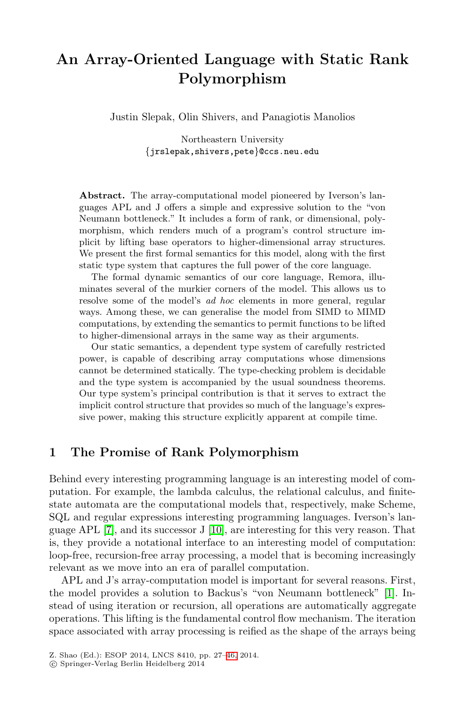# **An Array-Oriented Language with Static Rank Polymorphism**

Justin Slepak, Olin Shivers, and Panagiotis Manolios

Northeastern University {jrslepak,shivers,pete}@ccs.neu.edu

**Abstract.** The array-computational model pioneered by Iverson's languages APL and J offers a simple and expressive solution to the "von Neumann bottleneck." It includes a form of rank, or dimensional, polymorphism, which renders much of a program's control structure implicit by lifting base operators to higher-dimensional array structures. We present the first formal semantics for this model, along with the first static type system that captures the full power of the core language.

The formal dynamic semantics of our core language, Remora, illuminates several of the murkier corners of the model. This allows us to resolve some of the model's *ad hoc* elements in more general, regular ways. Among these, we can generalise the model from SIMD to MIMD computations, by extending the semantics to permit functions to be lifted to higher-dimensional arrays in the same way as their arguments.

Our static semantics, a dependent type system of carefully restricted power, is capable of describing array computations whose dimensions cannot be determined statically. The type-checking problem is decidable and the type system is accompanied by the usual soundness theorems. Our type system's principal contribution is that it serves to extract the implicit control structure that provides so much of the language's expressive power, making this structure explicitly apparent at compile time.

## **1 The Promise of Rank Polymorphism**

Behind every interesting programming language is an interesting model of computation. For example, the lambda calculus, the relati[on](#page-18-0)al calculus, and finitestate automata are the computational models that, respectively, make Scheme, SQL and regular expressions interesting programming languages. Iverson's language APL [7], and its successor J [10], are interesting for this very reason. That is, they provide a notational interface to an interesting model of computation: loop-free, recursion-f[ree](#page-19-0) array processing, a model that is becoming increasingly relevant as we move into an era of parallel computation.

APL and J's array-computation model is important for several reasons. First, the model provides a solution to Backus's "von Neumann bottleneck" [1]. Instead of using iteration or recursion, all operations are automatically aggregate operations. This lifting is the fundamental control flow mechanism. The iteration space associated with array processing is reified as the shape of the arrays being

Z. Shao (Ed.): ESOP 2014, LNCS 8410, pp. 27–46, 2014.

<sup>-</sup>c Springer-Verlag Berlin Heidelberg 2014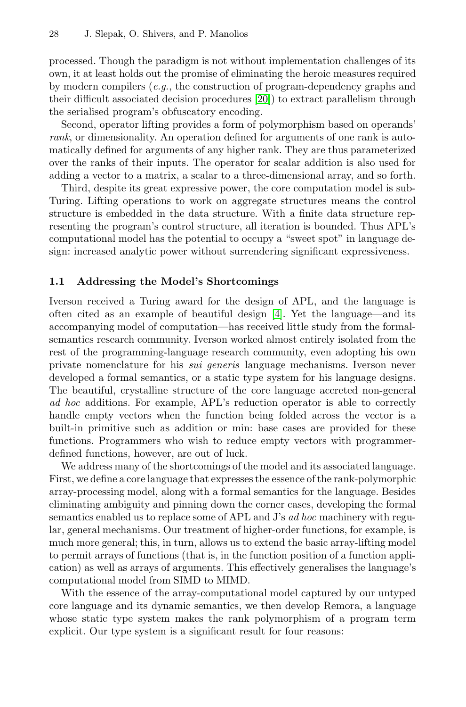processed. Though the paradigm is not without implementation challenges of its own, it at least holds out the promise of eliminating the heroic measures required by modern compilers (*e.g.*, the construction of program-dependency graphs and their difficult associated decision procedures [20]) to extract parallelism through the serialised program's obfuscatory encoding.

Second, operator lifting provides a form of polymorphism based on operands' *rank*, or dimensionality. An operation defined for arguments of one rank is automatically defined for arguments of any higher rank. They are thus parameterized over the ranks of their inputs. The operator for scalar addition is also used for adding a vector to a matrix, a scalar to a three-dimensional array, and so forth.

Third, despite its great expressive power, the core computation model is sub-Turing. Lifting operations to work on aggregate structures means the control structure is embedded in the [da](#page-18-1)ta structure. With a finite data structure representing the program's control structure, all iteration is bounded. Thus APL's computational model has the potential to occupy a "sweet spot" in language design: increased analytic power without surrendering significant expressiveness.

## **1.1 Addressing the Model's Shortcomings**

Iverson received a Turing award for the design of APL, and the language is often cited as an example of beautiful design [4]. Yet the language—and its accompanying model of computation—has received little study from the formalsemantics research community. Iverson worked almost entirely isolated from the rest of the programming-language research community, even adopting his own private nomenclature for his *sui generis* language mechanisms. Iverson never developed a formal semantics, or a static type system for his language designs. The beautiful, crystalline structure of the core language accreted non-general *ad hoc* additions. For example, APL's reduction operator is able to correctly handle empty vectors when the function being folded across the vector is a built-in primitive such as addition or min: base cases are provided for these functions. Programmers who wish to reduce empty vectors with programmerdefined functions, however, are out of luck.

We address many of the shortcomings of the model and its associated language. First, we define a core language that expresses the essence of the rank-polymorphic array-processing model, along with a formal semantics for the language. Besides eliminating ambiguity and pinning down the corner cases, developing the formal semantics enabled us to replace some of APL and J's *ad hoc* machinery with regular, general mechanisms. Our treatment of higher-order functions, for example, is much more general; this, in turn, allows us to extend the basic array-lifting model to permit arrays of functions (that is, in the function position of a function application) as well as arrays of arguments. This effectively generalises the language's computational model from SIMD to MIMD.

With the essence of the array-computational model captured by our untyped core language and its dynamic semantics, we then develop Remora, a language whose static type system makes the rank polymorphism of a program term explicit. Our type system is a significant result for four reasons: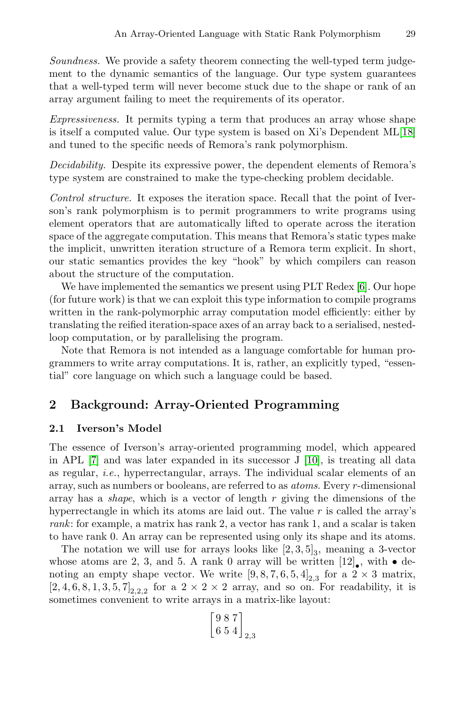*Soundness.* We provide a safety theorem connecting the well-typed term judgement to the dynamic semantics of the language. Our type system guarantees that a well-typed term will never become stuck due to the shape or rank of an array argument failing to meet the requirements of its operator.

*Expressiveness.* It permits typing a term that produces an array whose shape is itself a computed value. Our type system is based on Xi's Dependent ML[18] and tuned to the specific needs of Remora's rank polymorphism.

*Decidability.* Despite its expressive power, the dependent elements of Remora's type system are constrained to make the type-checking problem decidable.

*Control structure.* It exposes the iteration space. [R](#page-18-2)ecall that the point of Iverson's rank polymorphism is to permit programmers to write programs using element operators that are automatically lifted to operate across the iteration space of the aggregate computation. This means that Remora's static types make the implicit, unwritten iteration structure of a Remora term explicit. In short, our static semantics provides the key "hook" by which compilers can reason about the structure of the computation.

We have implemented the semantics we present using PLT Redex [6]. Our hope (for future work) is that we can exploit this type information to compile programs written in the rank-polymorphic array computation model efficiently: either by translating the reified iteration-space axes of an array back to a serialised, nestedloop computation, or by parallelising the program.

Note that Remora is not intended as a language comfortable for human programmers to write array computation[s. I](#page-19-2)t is, rather, an explicitly typed, "essential" core language on which such a language could be based.

# **2 Background: Array-Oriented Programming**

#### **2.1 Iverson's Model**

The essence of Iverson's array-oriented programming model, which appeared in APL [7] and was later expanded in its successor J [10], is treating all data as regular, *i.e.*, hyperrectangular, arrays. The individual scalar elements of an array, such as numbers or booleans, are referred to as *atoms*. Every r-dimensional array has a *shape*, which is a vector of length r giving the dimensions of the hyperrectangle in which its atoms are laid out. The value  $r$  is called the array's *rank*: for example, a matrix has rank 2, a vector has rank 1, and a scalar is taken to have rank 0. An array can be represented using only its shape and its atoms.

The notation we will use for arrays looks like  $[2, 3, 5]_3$ , meaning a 3-vector whose atoms are 2, 3, and 5. A rank 0 array will be written  $[12]_{\bullet}$ , with  $\bullet$  denoting an empty shape vector. We write  $[9, 8, 7, 6, 5, 4]_{2,3}$  for a  $2 \times 3$  matrix,  $[2, 4, 6, 8, 1, 3, 5, 7]_{2,2,2}$  for a  $2 \times 2 \times 2$  array, and so on. For readability, it is sometimes convenient to write arrays in a matrix-like layout:

$$
\left[ \frac{9\:8\:7}{6\:5\:4} \right]_{2,3}
$$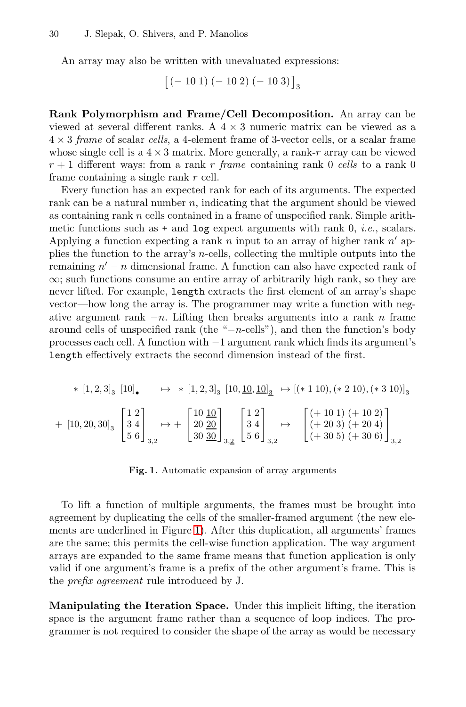An array may also be written with unevaluated expressions:

$$
\left[ \left( -10\ 1 \right) \left( -10\ 2 \right) \left( -10\ 3 \right) \right]_3
$$

**Rank Polymorphism and Frame/Cell Decomposition.** An array can be viewed at several different ranks. A 4 × 3 numeric matrix can be viewed as a 4 × 3 *frame* of scalar *cells*, a 4-element frame of 3-vector cells, or a scalar frame whose single cell is a  $4 \times 3$  matrix. More generally, a rank-r array can be viewed  $r + 1$  different ways: from a rank r *frame* containing rank 0 *cells* to a rank 0 frame containing a single rank r cell.

<span id="page-3-0"></span>Every function has an expected rank for each of its arguments. The expected rank can be a natural number  $n$ , indicating that the argument should be viewed as containing rank  $n$  cells contained in a frame of unspecified rank. Simple arithmetic functions such as + and log expect arguments with rank 0, *i.e.*, scalars. Applying a function expecting a rank n input to an array of higher rank  $n'$  applies the function to the array's n-cells, collecting the multiple outputs into the remaining  $n' - n$  dimensional frame. A function can also have expected rank of ∞; such functions consume an entire array of arbitrarily high rank, so they are never lifted. For example, length extracts the first element of an array's shape vector—how long the array is. The programmer may write a function with negative argument rank  $-n$ . Lifting then breaks arguments into a rank n frame around cells of unspecified rank (the "−n-cells"), and then the function's body processes each cell. A function with −1 argument rank which finds its argument's length effectively extracts the second dimension instead of the first.

$$
* [1, 2, 3]_3 [10] \longleftrightarrow * [1, 2, 3]_3 [10, \underline{10}, \underline{10}]_3 \rightarrow [(* 1 10), (* 2 10), (* 3 10)]_3
$$
  
+ 
$$
[10, 20, 30]_3 \begin{bmatrix} 1 & 2 \\ 3 & 4 \\ 5 & 6 \end{bmatrix}_{3,2} \rightarrow + \begin{bmatrix} 10 & \underline{10} \\ 20 & \underline{20} \\ 30 & \underline{30} \end{bmatrix}_{3,2} \begin{bmatrix} 1 & 2 \\ 3 & 4 \\ 5 & 6 \end{bmatrix}_{3,2} \rightarrow \begin{bmatrix} (+10 1) (+10 2) \\ (+20 3) (+20 4) \\ (+30 5) (+30 6) \end{bmatrix}_{3,2}
$$

**Fig. 1.** Automatic expansion of array arguments

To lift a function of multiple arguments, the frames must be brought into agreement by duplicating the cells of the smaller-framed argument (the new elements are underlined in Figure 1). After this duplication, all arguments' frames are the same; this permits the cell-wise function application. The way argument arrays are expanded to the same frame means that function application is only valid if one argument's frame is a prefix of the other argument's frame. This is the *prefix agreement* rule introduced by J.

**Manipulating the Iteration Space.** Under this implicit lifting, the iteration space is the argument frame rather than a sequence of loop indices. The programmer is not required to consider the shape of the array as would be necessary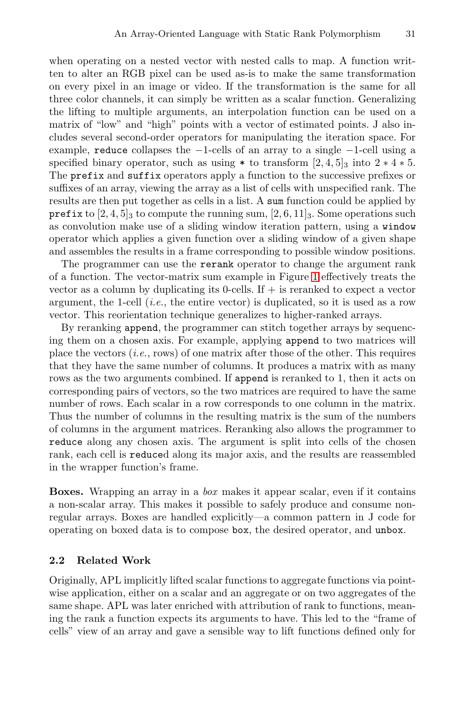when operating on a nested vector with nested calls to map. A function written to alter an RGB pixel can be used as-is to make the same transformation on every pixel in an image or video. If the transformation is the same for all three color channels, it can simply be written as a scalar function. Generalizing the lifting to multiple arguments, an interpolation function can be used on a matrix of "low" and "high" points with a vector of estimated points. J also includes several second-order operators for manipulating the iteration space. For example, reduce collapses the −1-cells of an array to a single −1-cell using a specified binary operator, such as using  $*$  to transform  $[2, 4, 5]_3$  into  $2 * 4 * 5$ . The prefix and suffix operators app[ly](#page-3-0) a function to the successive prefixes or suffixes of an array, viewing the array as a list of cells with unspecified rank. The results are then put together as cells in a list. A sum function could be applied by prefix to  $[2, 4, 5]_3$  to compute the running sum,  $[2, 6, 11]_3$ . Some operations such as convolution make use of a sliding window iteration pattern, using a window operator which applies a given function over a sliding window of a given shape and assembles the results in a frame corresponding to possible window positions.

The programmer can use the rerank operator to change the argument rank of a function. The vector-matrix sum example in Figure 1 effectively treats the vector as a column by duplicating its  $0$ -cells. If  $+$  is reranked to expect a vector argument, the 1-cell (*i.e.*, the entire vector) is duplicated, so it is used as a row vector. This reorientation technique generalizes to higher-ranked arrays.

By reranking append, the programmer can stitch together arrays by sequencing them on a chosen axis. For example, applying append to two matrices will place the vectors (*i.e.*, rows) of one matrix after those of the other. This requires that they have the same number of columns. It produces a matrix with as many rows as the two arguments combined. If append is reranked to 1, then it acts on corresponding pairs of vectors, so the two matrices are required to have the same number of rows. Each scalar in a row corresponds to one column in the matrix. Thus the number of columns in the resulting matrix is the sum of the numbers of columns in the argument matrices. Reranking also allows the programmer to reduce along any chosen axis. The argument is split into cells of the chosen rank, each cell is reduced along its major axis, and the results are reassembled in the wrapper function's frame.

**Boxes.** Wrapping an array in a *box* makes it appear scalar, even if it contains a non-scalar array. This makes it possible to safely produce and consume nonregular arrays. Boxes are handled explicitly—a common pattern in J code for operating on boxed data is to compose box, the desired operator, and unbox.

## **2.2 Related Work**

Originally, APL implicitly lifted scalar functions to aggregate functions via pointwise application, either on a scalar and an aggregate or on two aggregates of the same shape. APL was later enriched with attribution of rank to functions, meaning the rank a function expects its arguments to have. This led to the "frame of cells" view of an array and gave a sensible way to lift functions defined only for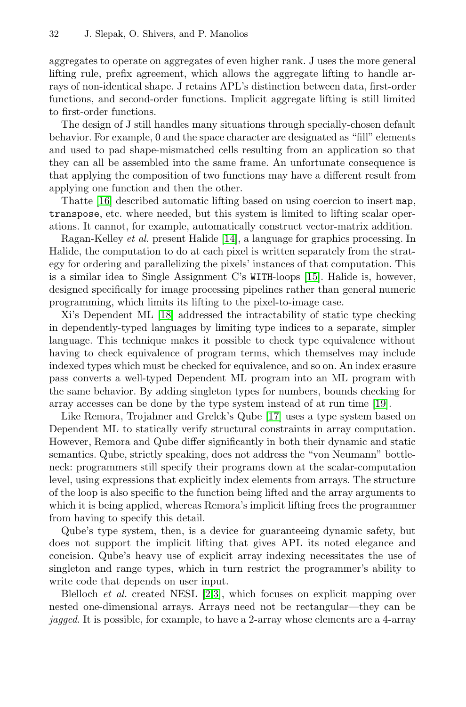aggregates to operate on aggregates of even higher rank. J uses the more general lifting rule, prefix agreement, which allows the aggregate lifting to handle arrays of non-identical shape. J retains APL's distinction between data, first-order functions, and second-order functions. Implicit aggregate lifting is still limited to first-order functions.

The design of J still handles many situations through specially-chosen default behavior. For exam[ple,](#page-19-3) 0 and the space character are designated as "fill" elements and used to pad shape-mismatched cells resulting from an application so that they can all be assembled into the same frame. An unfortunate consequence is that applying the composition of two [fun](#page-19-4)ctions may have a different result from applying one function and then the other.

Thatte [16] described automatic lifting based on using coercion to insert map, tran[spos](#page-19-1)e, etc. where needed, but this system is limited to lifting scalar operations. It cannot, for example, automatically construct vector-matrix addition.

Ragan-Kelley *et al.* present Halide [14], a language for graphics processing. In Halide, the computation to do at each pixel is written separately from the strategy for ordering and parallelizing the pixels' instances of that computation. This is a similar idea to Single Assignment C's WITH-loops [15]. Halide is, however, designed specifically for image processing pipelines rather than general numeric programming, which limits its lifting to the pixel-to[-ima](#page-19-5)ge case.

Xi's Dependent ML [18] a[ddr](#page-19-6)essed the intractability of static type checking in dependently-typed languages by limiting type indices to a separate, simpler language. This technique makes it possible to check type equivalence without having to check equivalence of program terms, which themselves may include indexed types which must be checked for equivalence, and so on. An index erasure pass converts a well-typed Dependent ML program into an ML program with the same behavior. By adding singleton types for numbers, bounds checking for array accesses can be done by the type system instead of at run time [19].

Like Remora, Trojahner and Grelck's Qube [17] uses a type system based on Dependent ML to statically verify structural constraints in array computation. However, Remora and Qube differ significantly in both their dynamic and static semantics. Qube, strictly speaking, does not address the "von Neumann" bottleneck: programmers still specify their programs down at the scalar-computation level, using expressions that explicitly index elements from arrays. The structure of the loop is al[so](#page-18-3) [sp](#page-18-4)ecific to the function being lifted and the array arguments to which it is being applied, whereas Remora's implicit lifting frees the programmer from having to specify this detail.

Qube's type system, then, is a device for guaranteeing dynamic safety, but does not support the implicit lifting that gives APL its noted elegance and concision. Qube's heavy use of explicit array indexing necessitates the use of singleton and range types, which in turn restrict the programmer's ability to write code that depends on user input.

Blelloch *et al.* created NESL [2,3], which focuses on explicit mapping over nested one-dimensional arrays. Arrays need not be rectangular—they can be *jagged*. It is possible, for example, to have a 2-array whose elements are a 4-array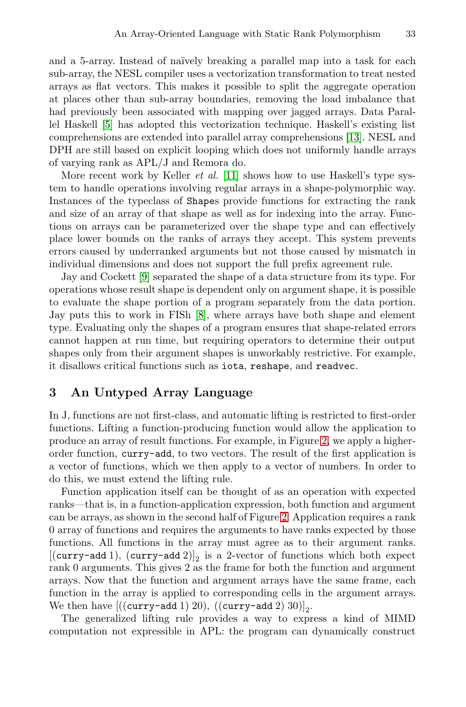and a 5-array. Instead of naïvely breaking a parallel map into a task for each sub-array, the NES[L co](#page-19-8)mpiler uses a vectorization transformation to treat nested arrays as flat vectors. This makes it possible to split the aggregate operation at places other than sub-array boundaries, removing the load imbalance that had previously been associated with mapping over jagged arrays. Data Parallel Haskell [5] has adopted this vectorization technique. Haskell's existing list comprehensions are extended into parallel array comprehensions [13]. NESL and DPH are still based on explicit looping which does not uniformly handle arrays of varying rank as APL/J and Remora do.

[M](#page-19-9)ore recent work by Keller *et al.* [11] shows how to use Haskell's type system to handle operations involving regular arrays in a shape-polymorphic way. Instances of the typeclass of Shapes provide functions for extracting the rank and size of an [a](#page-19-10)rray of that shape as well as for indexing into the array. Functions on arrays can be parameterized over the shape type and can effectively place lower bounds on the ranks of arrays they accept. This system prevents errors caused by underranked arguments but not those caused by mismatch in individual dimensions and does not support the full prefix agreement rule.

Jay and Cockett [9] separated the shape of a data structure from its type. For operations whose result shape is dependent only on argument shape, it is possible to evaluate the shape portion of a program separately from the data portion. Jay puts this to work in FISh [8], where arrays have both shape and element type. Evaluating only the shapes of a program ensures that shape-related errors cannot happen at run time, but requiri[ng](#page-7-0) operators to determine their output shapes only from their argument shapes is unworkably restrictive. For example, it disallows critical functions such as iota, reshape, and readvec.

# **3 An Untyped Array Language**

In J, functions are not first-class[, a](#page-7-0)nd automatic lifting is restricted to first-order functions. Lifting a function-producing function would allow the application to produce an array of result functions. For example, in Figure 2, we apply a higherorder function, curry-add, to two vectors. The result of the first application is a vector of functions, which we then apply to a vector of numbers. In order to do this, we must extend the lifting rule.

Function application itself can be thought of as an operation with expected ranks—that is, in a function-application expression, both function and argument can be arrays, as shown in the second half of Figure 2. Application requires a rank 0 array of functions and requires the arguments to have ranks expected by those functions. All functions in the array must agree as to their argument ranks. [(curry-add 1), (curry-add 2)]<sub>2</sub> is a 2-vector of functions which both expect rank 0 arguments. This gives 2 as the frame for both the function and argument arrays. Now that the function and argument arrays have the same frame, each function in the array is applied to corresponding cells in the argument arrays. We then have  $[((\text{curry-add 1}) 20), ((\text{curry-add 2}) 30)]_2$ .

The generalized lifting rule provides a way to express a kind of MIMD computation not expressible in APL: the program can dynamically construct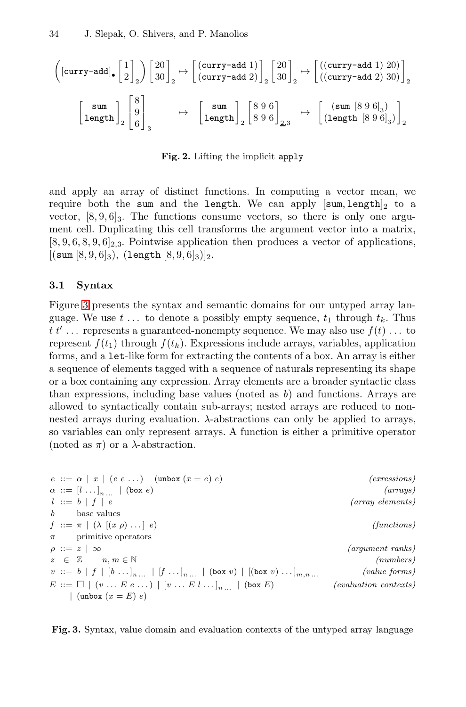<span id="page-7-0"></span>
$$
\begin{array}{l} \left(\left[\text{curry-add}\right]_{\bullet}\left[ \begin{smallmatrix} 1 \\ 2 \end{smallmatrix} \right]_{2} \right)\left[\begin{smallmatrix} 20 \\ 30 \end{smallmatrix} \right]_{2} \mapsto \left[\begin{smallmatrix} (\text{curry-add 1}) \\ (\text{curry-add 2}) \end{smallmatrix} \right]_{2}\left[\begin{smallmatrix} 20 \\ 30 \end{smallmatrix} \right]_{2} \mapsto \left[\begin{smallmatrix} ((\text{curry-add 1}) \ 200 \\ (\text{curry-add 2}) \ 300 \end{smallmatrix} \right]_{2} \right]_{2} \\ \\ \left[\begin{smallmatrix} \text{sum} \\ \text{length} \end{smallmatrix} \right]_{2}\left[\begin{smallmatrix} 8 \\ 9 \\ 6 \end{smallmatrix} \right]_{3} \quad \mapsto \quad \left[\begin{smallmatrix} \text{sum} \\ \text{length} \end{smallmatrix} \right]_{2}\left[\begin{smallmatrix} 8 & 9 & 6 \\ 8 & 9 & 6 \end{smallmatrix} \right]_{2,3} \quad \mapsto \quad \left[\begin{smallmatrix} (\text{sum} \; [8 \, 9 \; 6]_{3}) \\ (\text{length} \; [8 \, 9 \; 6]_{3}) \end{smallmatrix} \right]_{2} \end{array}
$$

**Fig. 2.** Lifting the implicit apply

and apply an array of distinct functions. In computing a vector mean, we require both the sum and the length. We can apply  $[\text{sum}, \text{length}]_2$  to a vector,  $[8, 9, 6]_3$ . The functions consume vectors, so there is only one argument cell. Duplicating this cell transforms the argument vector into a matrix,  $[8, 9, 6, 8, 9, 6]_{2,3}$ . Pointwise application then produces a vector of applications,  $[(\text{sum }[8, 9, 6]_3), (\text{length }[8, 9, 6]_3)]_2.$ 

#### **3.1 Syntax**

Figure 3 presents the syntax and semantic domains for our untyped array language. We use  $t \dots$  to denote a possibly empty sequence,  $t_1$  through  $t_k$ . Thus  $t t'$ ... represents a guaranteed-nonempty sequence. We may also use  $f(t)$ ... to represent  $f(t_1)$  through  $f(t_k)$ . Expressions include arrays, variables, application forms, and a let-like form for extracting the contents of a box. An array is either a sequence of elements tagged with a sequence of naturals representing its shape or a box containing any expression. Array elements are a broader syntactic class than expressions, including base values (noted as *b*) and functions. Arrays are allowed to syntactically contain sub-arrays; nested arrays are reduced to nonnested arrays during evaluation. λ-abstractions can only be applied to arrays, so variables can only represent arrays. A function is either a primitive operator (noted as  $\pi$ ) or a  $\lambda$ -abstraction.

|   | $e ::= \alpha   x   (e e )   (\text{unbox} (x = e) e)$                    | (exressions)                          |
|---|---------------------------------------------------------------------------|---------------------------------------|
|   | $\alpha ::= [l \dots]_n \cup \text{(box } e)$                             | (arrays)                              |
|   | $l ::= b   f   e$                                                         | $(array\ elements)$                   |
| b | base values                                                               |                                       |
|   | $f ::= \pi   (\lambda   (x \rho)    e)$                                   | (functions)                           |
|   | $\pi$ primitive operators                                                 |                                       |
|   | $\rho ::= z \mid \infty$                                                  | $(\textit{argument} \textit{ ranks})$ |
|   | $z \in \mathbb{Z}$ $n, m \in \mathbb{N}$                                  | (numbers)                             |
|   | $v := b   f   [b ]_{n}   [f ]_{n}  $ (box $v)   [(\text{box } v) ]_{m,n}$ | (value forms)                         |
|   | $E ::= \Box   (v  E e )    v  E l   _{n}$ (box E)                         | <i>(evaluation contexts)</i>          |
|   | $(unbox (x = E) e)$                                                       |                                       |

**Fig. 3.** Syntax, value domain and evaluation contexts of the untyped array language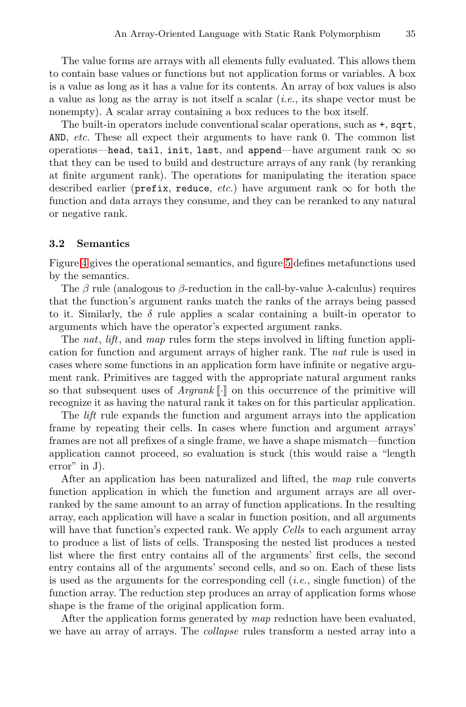The value forms are arrays with all elements fully evaluated. This allows them to contain base values or functions but not application forms or variables. A box is a value as long as it has a value for its contents. An array of box values is also a value as long as the array is not itself a scalar (*i.e.*, its shape vector must be nonempty). A scalar array containing a box reduces to the box itself.

The built-in operators include conventional scalar operations, such as +, sqrt, AND, *etc.* These all expect their arguments to have rank 0. The common list operations—head, tail, init, last, and append—have argument rank  $\infty$  so that they can be used to build a[nd](#page-11-0) destructure arrays of any rank (by reranking at finite argument rank). The operations for manipulating the iteration space described earlier (prefix, reduce, *etc.*) have argument rank  $\infty$  for both the function and data arrays they consume, and they can be reranked to any natural or negative rank.

#### **3.2 Semantics**

Figure 4 gives the operational semantics, and figure 5 defines metafunctions used by the semantics.

The  $\beta$  rule (analogous to  $\beta$ -reduction in the call-by-value  $\lambda$ -calculus) requires that the function's argument ranks match the ranks of the arrays being passed to it. Similarly, the  $\delta$  rule applies a scalar containing a built-in operator to arguments which have the operator's expected argument ranks.

The *nat*, *lift*, and *map* rules form the steps involved in lifting function application for function and argument arrays of higher rank. The *nat* rule is used in cases where some functions in an application form have infinite or negative argument rank. Primitives are tagged with the appropriate natural argument ranks so that subsequent uses of  $Argrank[\![\cdot]\!]$  on this occurrence of the primitive will recognize it as having the natural rank it takes on for this particular application.

The *lift* rule expands the function and argument arrays into the application frame by repeating their cells. In cases where function and argument arrays' frames are not all prefixes of a single frame, we have a shape mismatch—function application cannot proceed, so evaluation is stuck (this would raise a "length error" in J).

After an application has been naturalized and lifted, the *map* rule converts function application in which the function and argument arrays are all overranked by the same amount to an array of function applications. In the resulting array, each application will have a scalar in function position, and all arguments will have that function's expected rank. We apply *Cells* to each argument array to produce a list of lists of cells. Transposing the nested list produces a nested list where the first entry contains all of the arguments' first cells, the second entry contains all of the arguments' second cells, and so on. Each of these lists is used as the arguments for the corresponding cell (*i.e.*, single function) of the function array. The reduction step produces an array of application forms whose shape is the frame of the original application form.

After the application forms generated by *map* reduction have been evaluated, we have an array of arrays. The *collapse* rules transform a nested array into a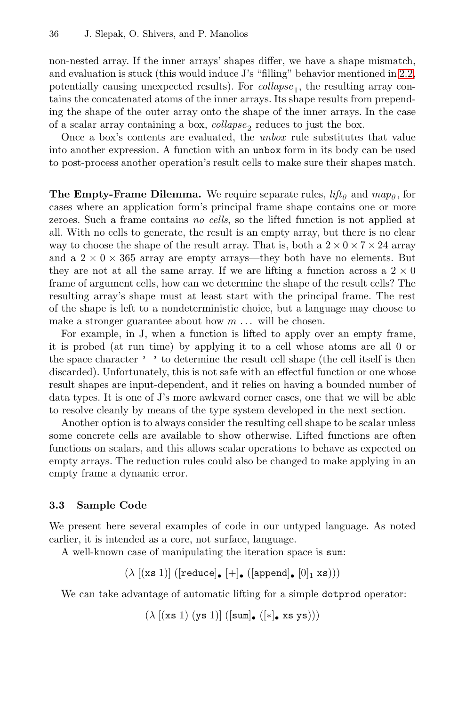non-nested array. If the inner arrays' shapes differ, we have a shape mismatch, and evaluation is stuck (this would induce J's "filling" behavior mentioned in 2.2, potentially causing unexpected results). For  $\textit{collapse}_1$ , the resulting array contains the concatenated atoms of the inner arrays. Its shape results from prepending the shape of the outer array onto the shape of the inner arrays. In the case of a scalar array containing a box, *collapse*<sub>2</sub> reduces to just the box.

Once a box's contents are evaluated, the *unbox* rule substitutes that value into another expression. A function with an unbox form in its body can be used to post-process another operation's result cells to make sure their shapes match.

**The Empty-Frame Dilemma.** We require separate rules,  $\text{lift}_0$  and  $\text{map}_0$ , for cases where an application form's principal frame shape contains one or more zeroes. Such a frame contains *no cells*, so the lifted function is not applied at all. With no cells to generate, the result is an empty array, but there is no clear way to choose the shape of the result array. That is, both a  $2 \times 0 \times 7 \times 24$  array and a  $2 \times 0 \times 365$  array are empty arrays—they both have no elements. But they are not at all the same array. If we are lifting a function across a  $2 \times 0$ frame of argument cells, how can we determine the shape of the result cells? The resulting array's shape must at least start with the principal frame. The rest of the shape is left to a nondeterministic choice, but a language may choose to make a stronger guarantee about how  $m \ldots$  will be chosen.

<span id="page-9-0"></span>For example, in J, when a function is lifted to apply over an empty frame, it is probed (at run time) by applying it to a cell whose atoms are all 0 or the space character ' ' to determine the result cell shape (the cell itself is then discarded). Unfortunately, this is not safe with an effectful function or one whose result shapes are input-dependent, and it relies on having a bounded number of data types. It is one of J's more awkward corner cases, one that we will be able to resolve cleanly by means of the type system developed in the next section.

Another option is to always consider the resulting cell shape to be scalar unless some concrete cells are available to show otherwise. Lifted functions are often functions on scalars, and this allows scalar operations to behave as expected on empty arrays. The reduction rules could also be changed to make applying in an empty frame a dynamic error.

#### **3.3 Sample Code**

We present here several examples of code in our untyped language. As noted earlier, it is intended as a core, not surface, language.

A well-known case of manipulating the iteration space is sum:

 $(\lambda$  [(xs 1)] ([reduce]. [+]. ([append]. [0]<sub>1</sub> xs)))

We can take advantage of automatic lifting for a simple **dotprod** operator:

 $(\lambda$  [(xs 1) (ys 1)] ([sum]. ([\*]. xs ys)))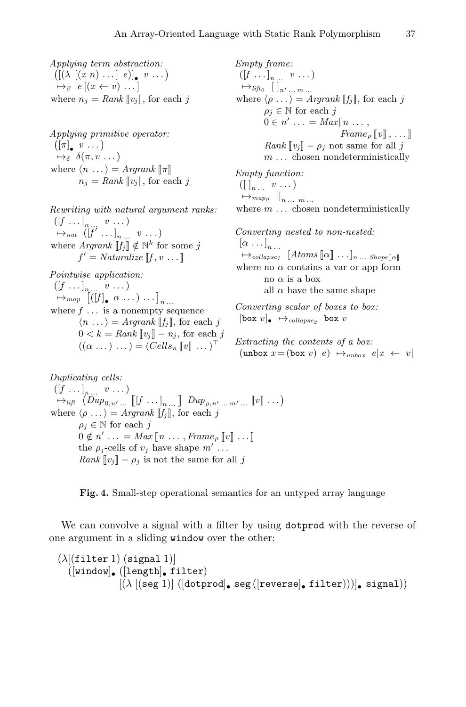*Applying term abstraction:*  $\left(\left[\left(\lambda \left[\left(x\ n\right)\ \ldots\right]\ e\right)\right]_{\bullet}\ v\ \ldots\right)$  $\mapsto_{\beta}$   $e \left[ (x \leftarrow v) \dots \right]$ where  $n_j = Rank \llbracket v_j \rrbracket$ , for each j *Applying primitive operator:*  $([\pi]_{\bullet} \, v \, \dots)$  $\mapsto_{\delta} \delta(\pi, v \dots)$ where  $\langle n \dots \rangle = Argrank [\![ \pi ]\!]$  $n_j = Rank [\![v_j]\!]$ , for each j *Rewriting with natural argument ranks:*  $([f \dots]_{n} \quad v \dots)$  $\mapsto$ <sub>nat</sub>  $([f' \dots]_{n} \dots v \dots)$ where  $Argrank [\![f_j]\!] \notin \mathbb{N}^k$  for some j  $f' = \textit{Naturalize} \left[ \textit{f}, \textit{v} \ldots \right]$ *Pointwise application:*  $([f \dots]_{n} \dots v \dots)$  $\mapsto_{map}$   $\left[\left(\begin{bmatrix}f\end{bmatrix}, \alpha \dots\right) \dots\right]_{n}$ where *f* ... is a nonempty sequence  $\langle n \dots \rangle = Argrank [\![f_j]\!],$  for each j  $0 < k = Rank \llbracket v_j \rrbracket - n_j$ , for each j  $((\alpha \dots) \dots) = (Cells_n [v] \dots)^{\top}$ *Empty frame:*  $([f \dots]_{n} \dots v \dots)$  $\mapsto$ *lift*<sub>0</sub>  $\left[\ \right]_{n'...m...}$ where  $\langle \rho \dots \rangle = Argrank [[f_j]],$  for each j  $\rho_i \in \mathbb{N}$  for each j  $0 \in n' \ldots = Max[\n\underline{n} \ldots,$  $Frame_{\rho} [ [v], \dots ]$  $Rank \[\![v_j]\!] - \rho_j$  not same for all j  $m \ldots$  chosen nondeterministically *Empty function:*  $([ \ ]_n \quad v \ldots)$  $\mapsto_{map_0}$   $\big]_{n \dots m}$ ... where  $m \ldots$  chosen nondeterministically *Converting nested to non-nested:*  $[\alpha \dots]_{n}$ ...  $\mapsto$ <sub>collapse<sub>1</sub> [Atoms  $[\![\alpha]\!]$  ...]<sub>n ...</sub> Shape $[\![\alpha]\!]$ </sub> where no  $\alpha$  contains a var or app form no  $\alpha$  is a box all  $\alpha$  have the same shape *Converting scalar of boxes to box:* [box *v*]• →*collapse2* box *v Extracting the contents of a box:*  $(\text{unbox } x = (\text{box } v) \ e) \ \mapsto_{\text{unbox}} \ e[x \leftarrow v]$ *Duplicating cells:*  $([f \dots]_{n} \dots v \dots)$  $\mapsto$ <sup>*lift*</sup>  $(Dup_{0,n'}...[[f \dots]_{n...}]$   $Dup_{\rho,n'}...m'...[[v] \dots)$ 

where  $\langle \rho \dots \rangle = Argrank [[f_j]],$  for each j  $\rho_j \in \mathbb{N}$  for each j  $0 \notin n' \dots = Max \llbracket n \dots, Frame_p \llbracket v \rrbracket \dots \rrbracket$ the  $\rho_j$ -cells of  $v_j$  have shape  $m'$ ...  $Rank \llbracket v_j \rrbracket - \rho_j$  is not the same for all j



We can convolve a signal with a filter by using dotprod with the reverse of one argument in a sliding window over the other:

 $(\lambda$ [(filter 1) (signal 1)]  $([window]_{\bullet} ([length]_{\bullet} filter)]$  $[(\lambda \left[ (\text{seg 1}) \right] \left( [\text{dotprod}]_{\bullet} \text{ seg}([\text{reverse}]_{\bullet} \text{ filter})))]_{\bullet} \text{ signal})$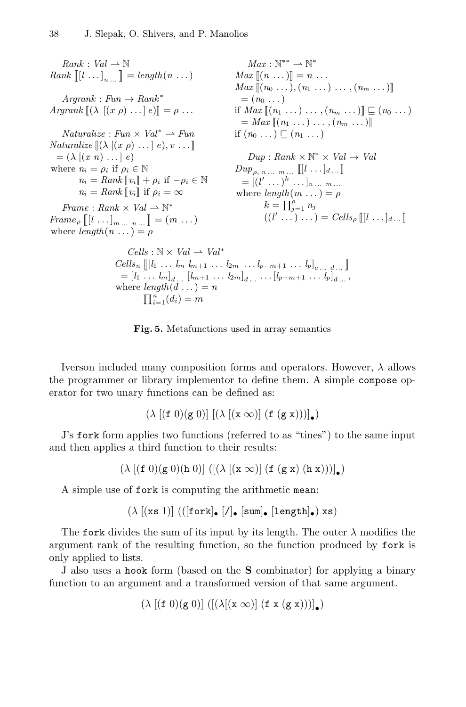$Rank: Val \rightarrow \mathbb{N}$  $Rank \left[\left[l \ldots \right]_n \ldots \right] = length(n \ldots)$  $A \nmark : \n[Fun \rightarrow Rank^\*](#fnm)$  $Argrank \left[ (\lambda \left[ (x \rho) \ldots \right] e) \right] = \rho \ldots$  $Naturalize: Fun \times Val^* \rightarrow Fun$  $\textit{Naturalize} \left[ (\lambda \left[ (x \rho) \ldots \right] e), v \ldots \right]$  $= (\lambda \left[ (x \ n) \dots \right] e)$ where  $n_i = \rho_i$  if  $\rho_i \in \mathbb{N}$  $n_i = Rank \llbracket v_i \rrbracket + \rho_i \text{ if } -\rho_i \in \mathbb{N}$  $n_i = Rank \llbracket v_i \rrbracket$  if  $\rho_i = \infty$ *Frame* : *Rank*  $\times$  *Val*  $\rightarrow$   $\mathbb{N}^*$ *Frame*<sub>ρ</sub>  $[[l \dots]_{m...n}$  ...  $] = (m \dots)$ where  $\text{length}(n \dots) = \rho$  $Max: N^{**} \rightarrow N^*$  $Max[[n \dots]] = n \dots$  $Max \left[ (n_0 \ldots), (n_1 \ldots) \ldots, (n_m \ldots) \right]$  $=(n_0 \ldots)$ if  $Max \left[ (n_1 \ldots) \ldots, (n_m \ldots) \right] \subseteq (n_0 \ldots)$  $= Max \left[ (n_1 \ldots) \ldots, (n_m \ldots) \right]$ if  $(n_0 \dots) \sqsubseteq (n_1 \dots)$  $Dup: Rank \times \mathbb{N}^* \times Val \rightarrow Val$  $Dup_{\rho, n}$  ...  $m$  ...  $[[l \dots]_{d}$  ...  $]]$  $=[(l' \dots)^k \dots]_{n \dots m}$ where  $length(m \dots) = \rho$  $k = \prod_{j=1}^p n_j$  $((l' \dots) \dots) = Cells_{\rho} [[l \dots]_{d \dots}]$  $Cells : \mathbb{N} \times Val \rightarrow Val^*$  $Cells_n[[l_1 \ldots l_m l_{m+1} \ldots l_{2m} \ldots l_{p-m+1} \ldots l_p]_{c \ldots d \ldots}]$  $=[l_1 \ldots l_m]_d \ldots [l_{m+1} \ldots l_{2m}]_d \ldots \ldots [l_{p-m+1} \ldots l_p]_d \ldots$ where  $length(d...)=n$ 



Iverson included many composition forms and operators. However,  $\lambda$  allows the programmer or library implementor to define them. A simple compose operator for two unary functions can be defined as:

$$
(\lambda \left[ (\mathtt{f} \ 0)(\mathtt{g} \ 0) \right] \left[ (\lambda \left[ (\mathtt{x} \ \infty) \right] (\mathtt{f} \ (\mathtt{g} \ \mathtt{x})) \right]_{\bullet})
$$

J's fork form applies two functions (referred to as "tines") to the same input and then applies a third function to their results:

 $(\lambda \left[ (\mathbf{f} \ 0)(\mathbf{g} \ 0)(\mathbf{h} \ 0) \right] \left( \left[ (\lambda \left[ (\mathbf{x} \infty) \right] (\mathbf{f} \ (\mathbf{g} \ \mathbf{x}) (\mathbf{h} \ \mathbf{x})) \right] \right]_{\bullet})$ 

A simple use of fork is computing the arithmetic mean:

<span id="page-11-0"></span> $\prod_{i=1}^n (d_i) = m$ 

 $(\lambda \left[ (\text{xs } 1) \right] ((\left[ \text{fork} \right]_{\bullet} \left[ \text{I} \right]_{\bullet} \left[ \text{sum} \right]_{\bullet} \left[ \text{length} \right]_{\bullet}) \text{ xs})$ 

The fork divides the sum of its input by its length. The outer  $\lambda$  modifies the argument rank of the resulting function, so the function produced by fork is only applied to lists.

J also uses a hook form (based on the **S** combinator) for applying a binary function to an argument and a transformed version of that same argument.

 $(\lambda \left[ (\mathbf{f} \; 0)(\mathbf{g} \; 0) \right] \left( \left[ (\lambda \left[ (\mathbf{x} \; \infty) \right] \; (\mathbf{f} \; \mathbf{x} \; (\mathbf{g} \; \mathbf{x})) \right) \right]_{\bullet})$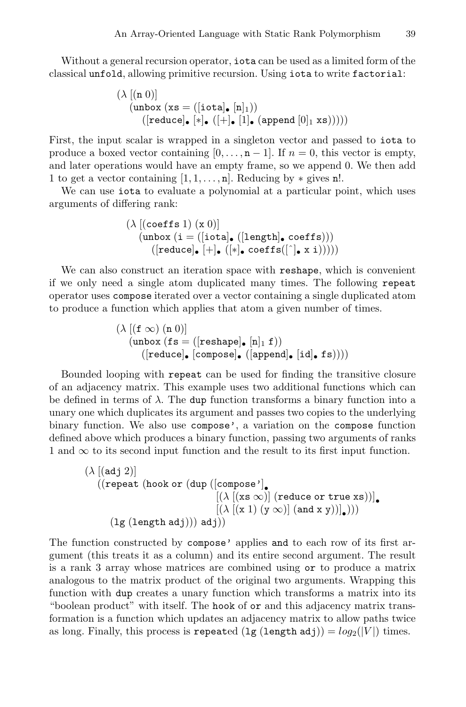Without a general recursion operator, iota can be used as a limited form of the classical unfold, allowing primitive recursion. Using iota to write factorial:

$$
(\lambda [(\texttt{n 0})])
$$
\n
$$
(\texttt{unbox (xs = ([iota], [n]_1)}))
$$
\n
$$
([\texttt{reduce}]_{\bullet} [*]_{\bullet} ([+]_{\bullet} [1]_{\bullet} (\texttt{append }[0]_{1} \texttt{xs})))))
$$

First, the input scalar is wrapped in a singleton vector and passed to iota to produce a boxed vector containing  $[0,\ldots,n-1]$ . If  $n=0$ , this vector is empty, and later operations would have an empty frame, so we append 0. We then add 1 to get a vector containing  $[1, 1, \ldots, n]$ . Reducing by  $*$  gives n!.

We can use iota to evaluate a polynomial at a particular point, which uses arguments of differing rank:

$$
(\lambda [(\text{coeffs 1)} (x 0)]
$$
  
(unbox (i = ([iota]• ([length]• coeffs)))  
([reduce]• [+]• ([\*]• coeffs([^]• x i))))

We can also construct an iteration space with reshape, which is convenient if we only need a single atom duplicated many times. The following repeat operator uses compose iterated over a vector containing a single duplicated atom to produce a function which applies that atom a given number of times.

$$
(\lambda [(\mathbf{f} \infty) (n 0)]
$$
  
(unbox (fs = ([reshape]• [n]1 f))  
([reduce]• [composite]• ([append]• [id]• fs))))

Bounded looping with repeat can be used for finding the transitive closure of an adjacency matrix. This example uses two additional functions which can be defined in terms of  $\lambda$ . The dup function transforms a binary function into a unary one which duplicates its argument and passes two copies to the underlying binary function. We also use compose', a variation on the compose function defined above which produces a binary function, passing two arguments of ranks 1 and  $\infty$  to its second input function and the result to its first input function.

(λ [(adj 2)] ((repeat (hook or (dup ([compose'] • [(<sup>λ</sup> [(xs <sup>∞</sup>)] (reduce or true xs))]• [(λ [(<sup>x</sup> 1) (<sup>y</sup> <sup>∞</sup>)] (and x y))]•))) (lg (length adj))) adj))

The function constructed by compose' applies and to each row of its first argument (this treats it as a column) and its entire second argument. The result is a rank 3 array whose matrices are combined using or to produce a matrix analogous to the matrix product of the original two arguments. Wrapping this function with dup creates a unary function which transforms a matrix into its "boolean product" with itself. The hook of or and this adjacency matrix transformation is a function which updates an adjacency matrix to allow paths twice as long. Finally, this process is repeated  $(\lg(\text{length} \text{adj})) = log_2(|V|)$  times.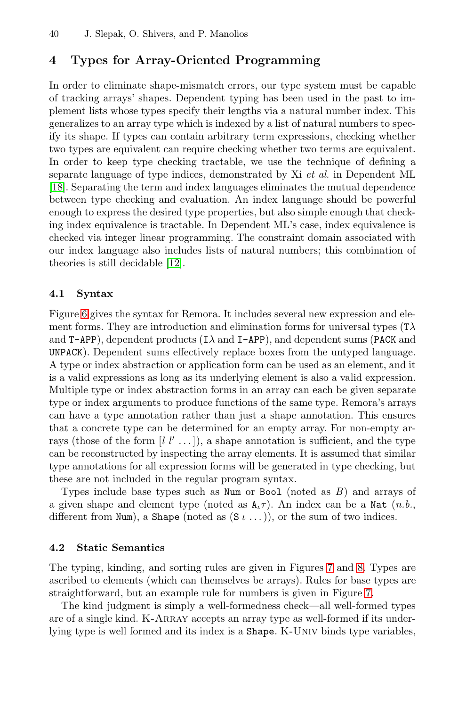# **4 Types for Array-Oriented Programming**

In order to eliminate shape-mismatch errors, our type system must be capable of tracking arrays' shapes. Dependent typing has been used in the past to implement lists whose types specify their lengths via a natural number index. This generalizes to an array type which is indexed by a list of natural numbers to specify its shape. If types can contain arbitrary term expressions, checking whether two types are equivalent can require checking whether two terms are equivalent. In orde[r to](#page-19-11) keep type checking tractable, we use the technique of defining a separate language of type indices, demonstrated by Xi *et al.* in Dependent ML [18]. Separating the term and index languages eliminates the mutual dependence between type checking and evaluation. An index language should be powerful enough to express the desired type properties, but also simple enough that checking index equivalence is tractable. In Dependent ML's case, index equivalence is checked via integer linear programming. The constraint domain associated with our index language also includes lists of natural numbers; this combination of theories is still decidable [12].

## **4.1 Syntax**

Figure 6 gives the syntax for Remora. It includes several new expression and element forms. They are introduction and elimination forms for universal types ( $T\lambda$ ) and  $T-APP$ ), dependent products  $(I\lambda \text{ and } I-APP)$ , and dependent sums (PACK and UNPACK). Dependent sums effectively replace boxes from the untyped language. A type or index abstraction or application form can be used as an element, and it is a valid expressions as long as its underlying element is also a valid expression. Multiple type or index abstraction forms in an array can each be given separate type or index arguments to produce functions of the same type. Remora's arrays can have a type annotation rather than just a shape annotation. This ensures that a concrete type can be determined for an empty array. For non-empty arrays (those of the form  $\lbrack l' \ldots \rbrack$ ), a shape annotation is sufficient, and the type can be reconstructed by inspecting the array elements. It is assumed that similar type annotations for all expression forms [wil](#page-15-0)l be [ge](#page-16-0)nerated in type checking, but these are not included in the regular program syntax.

Types include base types such as Num or Bool [\(](#page-15-0)noted as *B*) and arrays of a given shape and element type (noted as  $A_{\iota}\tau$ ). An index can be a Nat  $(n.b.,$ different from Num), a Shape (noted as  $(S \iota ...)$ ), or the sum of two indices.

## **4.2 Static Semantics**

The typing, kinding, and sorting rules are given in Figures 7 and 8. Types are ascribed to elements (which can themselves be arrays). Rules for base types are straightforward, but an example rule for numbers is given in Figure 7.

The kind judgment is simply a well-formedness check—all well-formed types are of a single kind. K-ARRAY accepts an array type as well-formed if its underlying type is well formed and its index is a Shape. K-Univ binds type variables,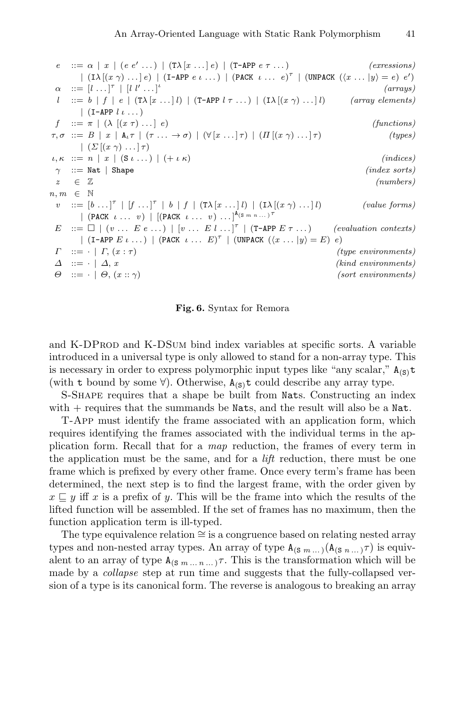*e* ::= α | *x* | (*e e*- ... ) <sup>|</sup> (T<sup>λ</sup> [*<sup>x</sup>* ... ] *<sup>e</sup>*) <sup>|</sup> (T-APP *<sup>e</sup>* τ ... ) *(exressions)* <sup>|</sup> (I<sup>λ</sup> [(*<sup>x</sup>* <sup>γ</sup>) ... ] *<sup>e</sup>*) <sup>|</sup> (I-APP *<sup>e</sup>* ι ... ) <sup>|</sup> (PACK ι ... *<sup>e</sup>*) <sup>τ</sup> <sup>|</sup> (UNPACK (*<sup>x</sup>* ... <sup>|</sup>*y* <sup>=</sup> *<sup>e</sup>*) *<sup>e</sup>*-) α ::= [*l* ... ] <sup>τ</sup> <sup>|</sup> [*l l*- ... ] <sup>ι</sup> *(arrays) <sup>l</sup>* ::= *<sup>b</sup>* <sup>|</sup> *<sup>f</sup>* <sup>|</sup> *<sup>e</sup>* <sup>|</sup> (T<sup>λ</sup> [*<sup>x</sup>* ... ] *<sup>l</sup>*) <sup>|</sup> (T-APP *<sup>l</sup>* τ ... ) <sup>|</sup> (I<sup>λ</sup> [(*<sup>x</sup>* <sup>γ</sup>) ... ] *<sup>l</sup>*) *(array elements)* <sup>|</sup> (I-APP *<sup>l</sup>* ι ... ) *f* ::= π | (λ [(*x* τ) ... ] *e*) *(functions)* τ,σ ::= *<sup>B</sup>* <sup>|</sup> *<sup>x</sup>* <sup>|</sup> <sup>A</sup>ι<sup>τ</sup> <sup>|</sup> (τ ... <sup>→</sup> <sup>σ</sup>) <sup>|</sup> (<sup>∀</sup> [*<sup>x</sup>* ... ] <sup>τ</sup>) <sup>|</sup> (<sup>Π</sup> [(*<sup>x</sup>* <sup>γ</sup>) ... ] <sup>τ</sup>) *(types)* | (Σ [(*x* γ) ... ] τ) ι, κ ::= *<sup>n</sup>* <sup>|</sup> *<sup>x</sup>* <sup>|</sup> (<sup>S</sup> ι ... ) <sup>|</sup> (+ ι κ) *(indices)* <sup>γ</sup> ::= Nat <sup>|</sup> Shape *(index sorts) <sup>z</sup>* <sup>∈</sup> <sup>Z</sup> *(numbers) <sup>n</sup>*, *<sup>m</sup>* <sup>∈</sup> <sup>N</sup> *v* ::= [*b* ... ] τ | [*f* ... ] τ <sup>|</sup> *<sup>b</sup>* <sup>|</sup> *<sup>f</sup>* <sup>|</sup> (T<sup>λ</sup> [*<sup>x</sup>* ... ] *<sup>l</sup>*) <sup>|</sup> (I<sup>λ</sup> [(*<sup>x</sup>* <sup>γ</sup>) ... ] *<sup>l</sup>*) *(value forms)* <sup>|</sup> (PACK ι ... *<sup>v</sup>* ) <sup>|</sup> [(PACK ι ... *<sup>v</sup>* ) ... ] <sup>A</sup>(<sup>S</sup> *m n ...* )<sup>τ</sup> E ::= - | (*v* ... E *e* ... ) | [*v* ... E *l* ... ] <sup>τ</sup> <sup>|</sup> (T-APP E τ ... ) *(evaluation contexts)* <sup>|</sup> (I-APP E ι ... ) <sup>|</sup> (PACK ι ... E) <sup>τ</sup> <sup>|</sup> (UNPACK (*<sup>x</sup>* ... <sup>|</sup>*y* <sup>=</sup> <sup>E</sup>) *<sup>e</sup>*) Γ ::= · | Γ, (*x* : τ) *(type environments)* Δ ::= · | Δ, *x (kind environments)* Θ ::= · | Θ, (*x* :: γ) *(sort environments)*

**Fig. 6.** Syntax for Remora

and K-DProd and K-DSum bind index variables at specific sorts. A variable introduced in a universal type is only allowed to stand for a non-array type. This is necessary in order to express polymorphic input types like "any scalar,"  $A_{(S)}t$ (with t bound by some  $\forall$ ). Otherwise,  $A_{(S)}$ t could describe any array type.

S-Shape requires that a shape be built from Nats. Constructing an index with  $+$  requires that the summands be Nats, and the result will also be a Nat.

T-App must identify the frame associated with an application form, which requires identifying the frames associated with the individual terms in the application form. Recall that for a *map* reduction, the frames of every term in the application must be the same, and for a *lift* reduction, there must be one frame which is prefixed by every other frame. Once every term's frame has been determined, the next step is to find the largest frame, with the order given by  $x \sqsubseteq y$  iff x is a prefix of y. This will be the frame into which the results of the lifted function will be assembled. If the set of frames has no maximum, then the function application term is ill-typed.

The type equivalence relation ≅ is a congruence based on relating nested array types and non-nested array types. An array of type  $A_{(S, m ...)}(A_{(S, n ...)}\tau)$  is equivalent to an array of type  $A_{(S, m... n...)}\tau$ . This is the transformation which will be made by a *collapse* step at run time and suggests that the fully-collapsed version of a type is its canonical form. The reverse is analogous to breaking an array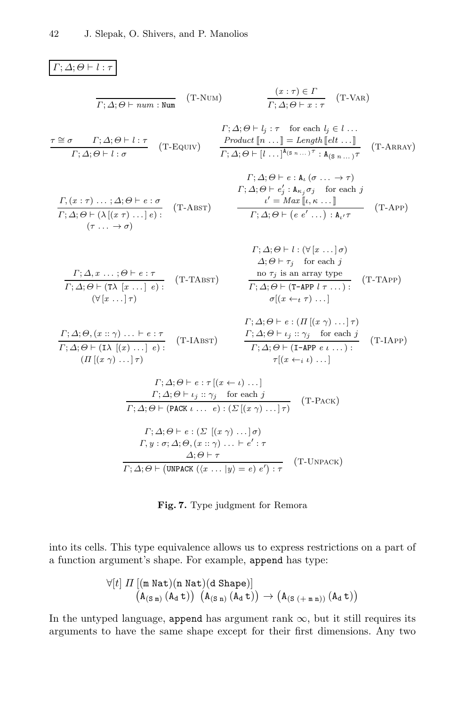| $\varGamma;\varDelta;\varTheta\vdash l:\tau$                                                                                                                                                                                                                                                                                                                                                                                                                                              |
|-------------------------------------------------------------------------------------------------------------------------------------------------------------------------------------------------------------------------------------------------------------------------------------------------------------------------------------------------------------------------------------------------------------------------------------------------------------------------------------------|
| $\frac{(x:\tau) \in \Gamma}{\Gamma; \Delta; \Theta \vdash x : \tau}$ (T-VAR)<br>$(T-NUM)$<br>$\overline{\varGamma;\varDelta;\varTheta\vdash num:\texttt{Num}}$                                                                                                                                                                                                                                                                                                                            |
| $\Gamma; \Delta; \Theta \vdash l_i : \tau$ for each $l_i \in l \dots$<br>Product $[\![ n \dots ]\!] = Length [\![ elt \dots ]\!]$<br>$\Gamma; \Delta; \Theta \vdash [l \dots ]^{A_{(S\ n \dots )}}$ $\tau$ : $A_{(S\ n \dots )}\tau$<br>$\frac{\tau \cong \sigma \qquad \Gamma; \Delta; \Theta \vdash l : \tau}{\Gamma; \Delta; \Theta \vdash l : \sigma}$<br>$(T$ -Equiv)<br>$(T-ARRAY)$                                                                                                 |
| $\Gamma: \Delta; \Theta \vdash e : A_{\iota}(\sigma \ldots \rightarrow \tau)$<br>$\Gamma; \Delta; \Theta \vdash e'_i : \mathbf{A}_{\kappa_i} \sigma_j$ for each j<br>$\iota' = Max \llbracket \iota, \kappa \dots \rrbracket$<br>$\Gamma; \Delta; \Theta \vdash (e e' \dots) : A_{\iota'} \tau$<br>$\frac{\Gamma,(x:\tau)\ldots;\Delta;\Theta\vdash e:\sigma}{\Gamma;\Delta;\Theta\vdash (\lambda[(x\,\tau)\ldots]\,e):}$<br>$(T-ABST)$<br>$(T-APP)$<br>$(\tau \dots \rightarrow \sigma)$ |
| $\Gamma: \Delta: \Theta \vdash l : (\forall [x \dots] \sigma)$<br>$\Delta; \Theta \vdash \tau_j$ for each j<br>no $\tau_j$ is an array type<br>$\Gamma; \Delta; \Theta \vdash (\texttt{T-APP } l \tau \dots)$ :<br>$\frac{\Gamma;\Delta,x\ldots;\Theta\vdash e:\tau}{\Gamma;\Delta;\Theta\vdash(\mathtt{T}\lambda~[x\ldots]~e):}$<br>$(T-TABST)$<br>$(T-TAPP)$<br>$\sigma[(x \leftarrow_t \tau) \dots]$<br>$(\forall [x \dots \n\tau]$                                                    |
| $\Gamma$ ; $\Delta$ ; $\Theta$ $\vdash$ $e$ : $(\Pi$ $[(x \ \gamma) \dots \ \tau)$<br>$\frac{\Gamma; \Delta; \Theta \vdash \iota_j :: \gamma_j \quad \text{for each } j}{\Gamma; \Delta; \Theta \vdash (\text{I-APP } e \iota \dots ) :}$<br>$\frac{\Gamma;\Delta;\Theta,(x::\gamma) \vdash e:\tau}{\Gamma;\Delta;\Theta \vdash (\mathbf{I}\lambda \;[(x)] \;e):}$<br>$(T-IABST)$<br>$(T-IAPP)$<br>$(\Pi[(x \gamma) \dots] \tau)$<br>$\tau$ [ $(x \leftarrow_i \iota) \dots$ ]            |
| $\Gamma: \Delta; \Theta \vdash e : \tau [(x \leftarrow \iota) \dots]$<br>$\frac{\Gamma; \Delta; \Theta \vdash \iota_j : : \gamma_j \quad \text{for each } j}{\Gamma; \Delta; \Theta \vdash (\texttt{PACK } \iota \ldots e) : (\Sigma[(x \gamma) \ldots \tau)]}$<br>$(T-PACK)$                                                                                                                                                                                                             |
| $\Gamma: \Delta; \Theta \vdash e : (\Sigma \left[ (x \gamma) \dots \right] \sigma)$<br>$\Gamma, y : \sigma, \Delta, \Theta, (x : \gamma) \ldots \vdash e' : \tau$<br>$\Delta: \Theta \vdash \tau$<br>$(T$ -UNPACK)<br>$\varGamma;\varDelta;\varTheta \vdash \big(\texttt{UNPACK}\ (\langle \overline{x\ \ldots\   y}\rangle = e)\ e'\big):\tau$                                                                                                                                           |

<span id="page-15-0"></span>**Fig. 7.** Type judgment for Remora

into its cells. This type equivalence allows us to express restrictions on a part of a function argument's shape. For example, append has type:

$$
\forall [t]\ \textit{II}\ [\texttt{(m Nat)} (\texttt{n Nat})(\texttt{d Shape})] \\ \big(\texttt{A}_{(\texttt{S m})}\ (\texttt{A}_\texttt{d}\ \texttt{t})\big)\ (\texttt{A}_{(\texttt{S n})}\ (\texttt{A}_\texttt{d}\ \texttt{t})\big) \rightarrow \big(\texttt{A}_{(\texttt{S (+ m n)})}\ (\texttt{A}_\texttt{d}\ \texttt{t})\big)
$$

In the untyped language, append has argument rank  $\infty$ , but it still requires its arguments to have the same shape except for their first dimensions. Any two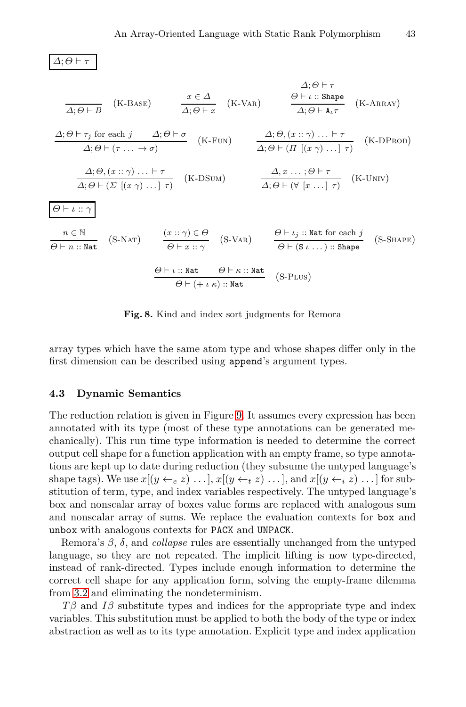<span id="page-16-0"></span>
$$
\begin{array}{ccccccccc}\n\boxed{\Delta;\Theta\vdash\tau} & & & & & & \Delta;\Theta\vdash\tau \\
\hline\n\frac{\Delta;\Theta\vdash B}{\Delta;\Theta\vdash B} & & & & \frac{x\in\Delta}{\Delta;\Theta\vdash x} & & & \frac{\Theta\vdash\iota::\text{Shape}}{\Delta;\Theta\vdash\mathsf{A}_{\iota}\tau} & & & & \\
\frac{\Delta;\Theta\vdash\tau_{j}\text{ for each }j & & & \Delta;\Theta\vdash\sigma}{\Delta;\Theta\vdash(\tau\ldots\to\sigma)} & & & & \frac{\Delta;\Theta,(x::\gamma)\ldots\vdash\tau}{\Delta;\Theta\vdash(\Pi\left[(x\,\gamma)\ldots]\,\tau)} & & & & \\
& & & & & \frac{\Delta;\Theta,(x::\gamma)\ldots\vdash\tau}{\Delta;\Theta\vdash(\Sigma\left[(x\,\gamma)\ldots]\,\tau)} & & & & & \frac{\Delta,x\ldots\vdash\Theta\vdash\tau}{\Delta;\Theta\vdash(\forall\left[x\ldots]\,\tau\right)} & & & \\
& & & & & & \frac{\Theta\vdash\iota::\Theta}{\Theta\vdash\iota::\gamma} & & & \\
& & & & & & \frac{\theta\vdash\iota::\text{Nat} & & & \\
\hline\n& & & & & & \frac{\theta\vdash\iota:\text{Nat} & & \theta\vdash\iota:\text{Nat} & & \\
& & & & & & \theta\vdash(\forall\left[x\ldots\right]\,\tau\end{array}) & & & & \\
& & & & & \frac{\theta\vdash\iota:\text{Nat} & & \theta\vdash\iota:\text{Nat} & & \theta\vdash\iota:\text{Nat} & & \\
& & & & & \theta\vdash(\forall\left[x\ldots\right):\text{Data} & & \\
& & & & & \theta\vdash(\forall\left[x\ldots\right):\text{Nat} & & \\
& & & & & & \theta\vdash(\forall\left[x\ldots\right):\text{Nat} & & \\
& & & & & & \theta\vdash(\forall\left[x\ldots\right):\text{Nat} & & \\
& & & & & & \theta\vdash(\forall\left[x\ldots\right):\text{Nat} & & \\
& & & & & & \theta\vdash(\forall\left[x\ldots\right]:\text{Nat} & & \\
& & & & & & & \theta\vdash(\forall\left[x\ldots\right]:\text{Nat} & & \\
& & & & & & & \theta\vdash(\forall\left[x\ldots\right]:\text{Nat} & & \\
& & & & & & & \
$$

**Fig. 8.** [K](#page-17-0)ind and index sort judgments for Remora

array types which have the same atom type and whose shapes differ only in the first dimension can be described using append's argument types.

#### **4.3 Dynamic Semantics**

The reduction relation is given in Figure 9. It assumes every expression has been annotated with its type (most of these type annotations can be generated mechanically). This run time type information is needed to determine the correct output cell shape for a function application with an empty frame, so type annotations are kept up to date during reduction (they subsume the untyped language's shape tags). We use  $x[(y \leftarrow_e z) \dots], x[(y \leftarrow_t z) \dots],$  and  $x[(y \leftarrow_i z) \dots]$  for substitution of term, type, and index variables respectively. The untyped language's box and nonscalar array of boxes value forms are replaced with analogous sum and nonscalar array of sums. We replace the evaluation contexts for box and unbox with analogous contexts for PACK and UNPACK.

Remora's β, δ, and *collapse* rules are essentially unchanged from the untyped language, so they are not repeated. The implicit lifting is now type-directed, instead of rank-directed. Types include enough information to determine the correct cell shape for any application form, solving the empty-frame dilemma from 3.2 and eliminating the nondeterminism.

 $T\beta$  and  $I\beta$  substitute types and indices for the appropriate type and index variables. This substitution must be applied to both the body of the type or index abstraction as well as to its type annotation. Explicit type and index application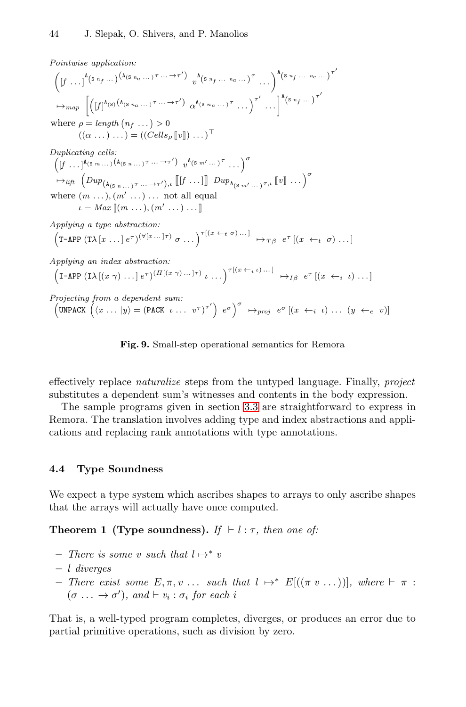<span id="page-17-0"></span>*Pointwise application:*  $\left(\left[f \ldots \right]^{\mathsf{A}} (\mathsf{s} \; n_f \ldots )^{\mathsf{A}} (\mathsf{s} \; n_a \ldots )^{\tau} \cdots \rightarrow \tau' \right) \; v^{\mathsf{A}} (\mathsf{s} \; n_f \ldots n_a \ldots )^{\tau} \ldots \bigg)^{\mathsf{A}} (\mathsf{s} \; n_f \ldots n_c \ldots )^{\tau'}$  $\mapsto$ *map*  $\left[\left(\left[f\right]^{A_{(s)}(A_{(s n_a \dots)} \tau \dots \to \tau')}\right] \alpha^{A_{(s n_a \dots)} \tau} \dots \right]^{\tau'} \dots \right]^{A_{(s n_f \dots)} \tau'}$ where  $\rho = \text{length}(n_f \dots) > 0$  $((\alpha \dots) \dots) = ((Cells_{\rho} [v]) \dots)^{\dagger}$ *Duplicating cells:*  $\left(f \ldots\right)^{\mathbf{A}}$ (S *m* ... ) (A<sub>(S *n* ... )</sub>  $\tau$  ...  $\rightarrow \tau'$ )  $v^{\mathbf{A}}$ (S *m'* ... )<sup> $\tau$ </sup> ... )<sup> $\sigma$ </sup>  $\mapsto$ *lift*  $\left(Dup_{(A_{(S n ...)}\tau ... \rightarrow \tau')}, \ell \left[\!\left[\!\left[f \dots\right]\!\right]\!\right] \cdot Dup_{A_{(S m' ...)}\tau, \ell} \left[\!\left[\!\left[v\right]\!\right] \dots\right]^\sigma$ where  $(m \dots), (m' \dots) \dots$  not all equal  $\iota = Max \left[ (m \dots), (m' \dots) \dots \right]$ *Applying a type abstraction:*  $\left(T-\text{APP } (\text{TA} [x \dots] e^{\tau})^{(\forall [x \dots] \tau)} \sigma \dots \right)^{\tau[(x \leftarrow t \sigma) \dots]} \mapsto_{T\beta} e^{\tau} [(x \leftarrow_t \sigma) \dots]$ *Applying an index abstraction:*  $\left(\text{I-APP} \left(\text{I} \lambda \left[(x \ \gamma) \dots \right] e^{\tau} \right)^{\left(\Pi \left[(x \ \gamma) \dots \right] \tau\right)} \iota \dots \right)^{\tau \left[(x \leftarrow i \ \iota) \dots \right]} \mapsto_{I \beta} e^{\tau} \left[(x \ \leftarrow_i \iota) \dots \right]$ *Projecting from a dependent sum:*  $\left(\text{UNPACK }\left(\langle x \ldots | y \rangle = (\text{PACK } \iota \ldots v^{\tau})^{\tau'}\right) e^{\sigma}\right)^{\sigma} \mapsto_{proj} e^{\sigma} \left[(x \leftarrow_{i} \iota) \ldots (y \leftarrow_{e} v)\right]$ 

**Fig. 9.** Small-step operational semantics for Remora

effectively replace *naturalize* steps from the untyped language. Finally, *project* substitutes a dependent sum's witnesses and contents in the body expression.

The sample programs given in section 3.3 are straightforward to express in Remora. The translation involves adding type and index abstractions and applications and replacing rank annotations with type annotations.

## **4.4 Type Soundness**

We expect a type system which ascribes shapes to arrays to only ascribe shapes that the arrays will actually have once computed.

**Theorem 1 (Type soundness).** *If*  $\vdash$  *l* :  $\tau$ *, then one of:* 

- $-$  *There is some v such that*  $l \mapsto^* v$
- **–** *l diverges*
- $-$  *There exist some*  $E, π, v \dots$  *such that*  $l \mapsto^* E[((\pi v \dots))]$ *, where*  $\vdash π$  :  $(σ → σ')$  and  $\vdash v : σ \text{ for each } i$  $(\sigma \dots \rightarrow \sigma')$ , and  $\vdash v_i : \sigma_i$  for each i

That is, a well-typed program completes, diverges, or produces an error due to partial primitive operations, such as division by zero.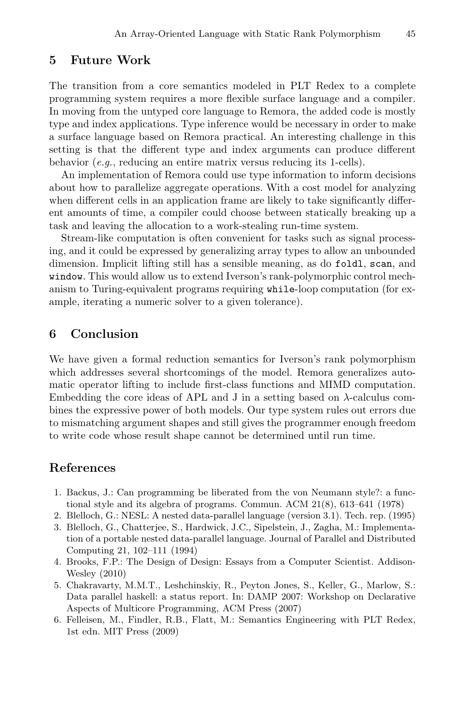## **5 Future Work**

The transition from a core semantics modeled in PLT Redex to a complete programming system requires a more flexible surface language and a compiler. In moving from the untyped core language to Remora, the added code is mostly type and index applications. Type inference would be necessary in order to make a surface language based on Remora practical. An interesting challenge in this setting is that the different type and index arguments can produce different behavior (*e.g.*, reducing an entire matrix versus reducing its 1-cells).

An implementation of Remora could use type information to inform decisions about how to parallelize aggregate operations. With a cost model for analyzing when different cells in an application frame are likely to take significantly different amounts of time, a compiler could choose between statically breaking up a task and leaving the allocation to a work-stealing run-time system.

Stream-like computation is often convenient for tasks such as signal processing, and it could be expressed by generalizing array types to allow an unbounded dimension. Implicit lifting still has a sensible meaning, as do foldl, scan, and window. This would allow us to extend Iverson's rank-polymorphic control mechanism to Turing-equivalent programs requiring while-loop computation (for example, iterating a numeric solver to a given tolerance).

## **6 Conclusion**

<span id="page-18-0"></span>We have given a formal reduction semantics for Iverson's rank polymorphism which addresses several shortcomings of the model. Remora generalizes automatic operator lifting to include first-class functions and MIMD computation. Embedding the core ideas of APL and J in a setting based on  $\lambda$ -calculus combines the expressive power of both models. Our type system rules out errors due to mismatching argument shapes and still gives the programmer enough freedom to write code whose result shape cannot be determined until run time.

# <span id="page-18-4"></span><span id="page-18-3"></span>**References**

- <span id="page-18-1"></span>1. Backus, J.: Can programming be liberated from the von Neumann style?: a functional style and its algebra of programs. Commun. ACM 21(8), 613–641 (1978)
- 2. Blelloch, G.: NESL: A nested data-parallel language (version 3.1). Tech. rep. (1995)
- <span id="page-18-2"></span>3. Blelloch, G., Chatterjee, S., Hardwick, J.C., Sipelstein, J., Zagha, M.: Implementation of a portable nested data-parallel language. Journal of Parallel and Distributed Computing 21, 102–111 (1994)
- 4. Brooks, F.P.: The Design of Design: Essays from a Computer Scientist. Addison-Wesley (2010)
- 5. Chakravarty, M.M.T., Leshchinskiy, R., Peyton Jones, S., Keller, G., Marlow, S.: Data parallel haskell: a status report. In: DAMP 2007: Workshop on Declarative Aspects of Multicore Programming, ACM Press (2007)
- 6. Felleisen, M., Findler, R.B., Flatt, M.: Semantics Engineering with PLT Redex, 1st edn. MIT Press (2009)